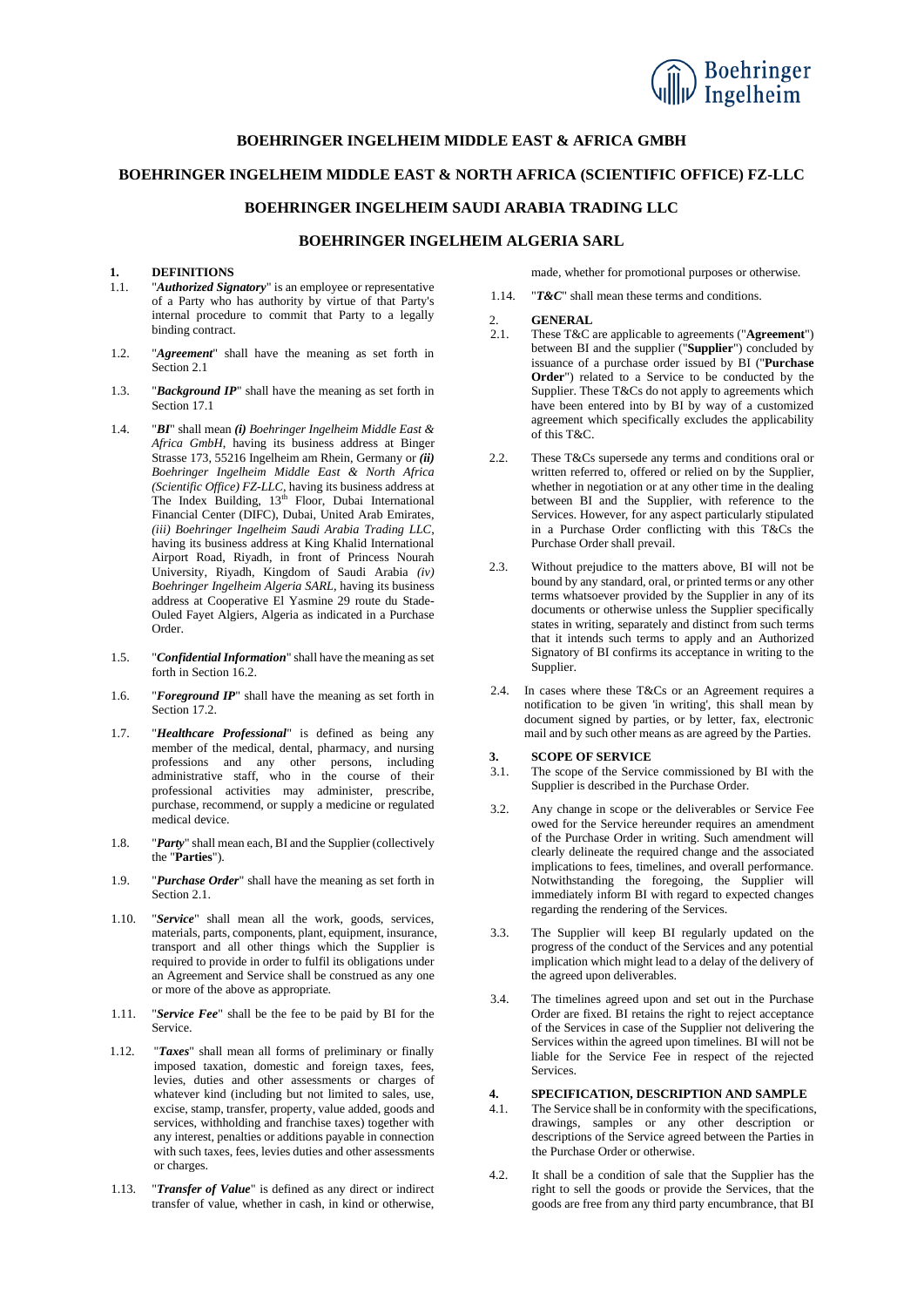

## **BOEHRINGER INGELHEIM MIDDLE EAST & AFRICA GMBH**

### **BOEHRINGER INGELHEIM MIDDLE EAST & NORTH AFRICA (SCIENTIFIC OFFICE) FZ-LLC**

## **BOEHRINGER INGELHEIM SAUDI ARABIA TRADING LLC**

## **BOEHRINGER INGELHEIM ALGERIA SARL**

# **1. DEFINITIONS**

- "**Authorized Signatory**" is an employee or representative of a Party who has authority by virtue of that Party's internal procedure to commit that Party to a legally binding contract.
- 1.2. "*Agreement*" shall have the meaning as set forth in Section [2.1](#page-0-0)
- 1.3. "*Background IP*" shall have the meaning as set forth in Section [17.1](#page-3-0)
- 1.4. "*BI*" shall mean *(i) Boehringer Ingelheim Middle East & Africa GmbH*, having its business address at Binger Strasse 173, 55216 Ingelheim am Rhein, Germany or *(ii) Boehringer Ingelheim Middle East & North Africa (Scientific Office) FZ-LLC*, having its business address at The Index Building, 13<sup>th</sup> Floor, Dubai International Financial Center (DIFC), Dubai, United Arab Emirates, *(iii) Boehringer Ingelheim Saudi Arabia Trading LLC*, having its business address at King Khalid International Airport Road, Riyadh, in front of Princess Nourah University, Riyadh, Kingdom of Saudi Arabia *(iv) Boehringer Ingelheim Algeria SARL*, having its business address at Cooperative El Yasmine 29 route du Stade-Ouled Fayet Algiers, Algeria as indicated in a Purchase Order.
- 1.5. "*Confidential Information*" shall have the meaning as set forth in Section [16.2.](#page-3-1)
- 1.6. "*Foreground IP*" shall have the meaning as set forth in Section [17.2.](#page-3-2)
- 1.7. "*Healthcare Professional*" is defined as being any member of the medical, dental, pharmacy, and nursing professions and any other persons, including administrative staff, who in the course of their professional activities may administer, prescribe, purchase, recommend, or supply a medicine or regulated medical device.
- 1.8. "*Party*" shall mean each, BI and the Supplier (collectively the "**Parties**").
- 1.9. "*Purchase Order*" shall have the meaning as set forth in Section [2.1.](#page-0-0)
- 1.10. "*Service*" shall mean all the work, goods, services, materials, parts, components, plant, equipment, insurance, transport and all other things which the Supplier is required to provide in order to fulfil its obligations under an Agreement and Service shall be construed as any one or more of the above as appropriate.
- 1.11. "*Service Fee*" shall be the fee to be paid by BI for the Service.
- 1.12. "*Taxes*" shall mean all forms of preliminary or finally imposed taxation, domestic and foreign taxes, fees, levies, duties and other assessments or charges of whatever kind (including but not limited to sales, use, excise, stamp, transfer, property, value added, goods and services, withholding and franchise taxes) together with any interest, penalties or additions payable in connection with such taxes, fees, levies duties and other assessments or charges.
- 1.13. "*Transfer of Value*" is defined as any direct or indirect transfer of value, whether in cash, in kind or otherwise,

made, whether for promotional purposes or otherwise.

1.14. "*T&C*" shall mean these terms and conditions.

#### 2. **GENERAL**

- <span id="page-0-0"></span>2.1. These T&C are applicable to agreements ("**Agreement**") between BI and the supplier ("**Supplier**") concluded by issuance of a purchase order issued by BI ("**Purchase Order**") related to a Service to be conducted by the Supplier. These T&Cs do not apply to agreements which have been entered into by BI by way of a customized agreement which specifically excludes the applicability of this T&C.
- 2.2. These T&Cs supersede any terms and conditions oral or written referred to, offered or relied on by the Supplier, whether in negotiation or at any other time in the dealing between BI and the Supplier, with reference to the Services. However, for any aspect particularly stipulated in a Purchase Order conflicting with this T&Cs the Purchase Order shall prevail.
- 2.3. Without prejudice to the matters above, BI will not be bound by any standard, oral, or printed terms or any other terms whatsoever provided by the Supplier in any of its documents or otherwise unless the Supplier specifically states in writing, separately and distinct from such terms that it intends such terms to apply and an Authorized Signatory of BI confirms its acceptance in writing to the Supplier.
- 2.4. In cases where these T&Cs or an Agreement requires a notification to be given 'in writing', this shall mean by document signed by parties, or by letter, fax, electronic mail and by such other means as are agreed by the Parties.

# **3.1. SCOPE OF SERVICE**<br>**3.1.** The scope of the Service

- The scope of the Service commissioned by BI with the Supplier is described in the Purchase Order.
- 3.2. Any change in scope or the deliverables or Service Fee owed for the Service hereunder requires an amendment of the Purchase Order in writing. Such amendment will clearly delineate the required change and the associated implications to fees, timelines, and overall performance. Notwithstanding the foregoing, the Supplier will immediately inform BI with regard to expected changes regarding the rendering of the Services.
- 3.3. The Supplier will keep BI regularly updated on the progress of the conduct of the Services and any potential implication which might lead to a delay of the delivery of the agreed upon deliverables.
- 3.4. The timelines agreed upon and set out in the Purchase Order are fixed. BI retains the right to reject acceptance of the Services in case of the Supplier not delivering the Services within the agreed upon timelines. BI will not be liable for the Service Fee in respect of the rejected Services.

## <span id="page-0-1"></span>**4. SPECIFICATION, DESCRIPTION AND SAMPLE**

- 4.1. The Service shall be in conformity with the specifications, drawings, samples or any other description or descriptions of the Service agreed between the Parties in the Purchase Order or otherwise.
- 4.2. It shall be a condition of sale that the Supplier has the right to sell the goods or provide the Services, that the goods are free from any third party encumbrance, that BI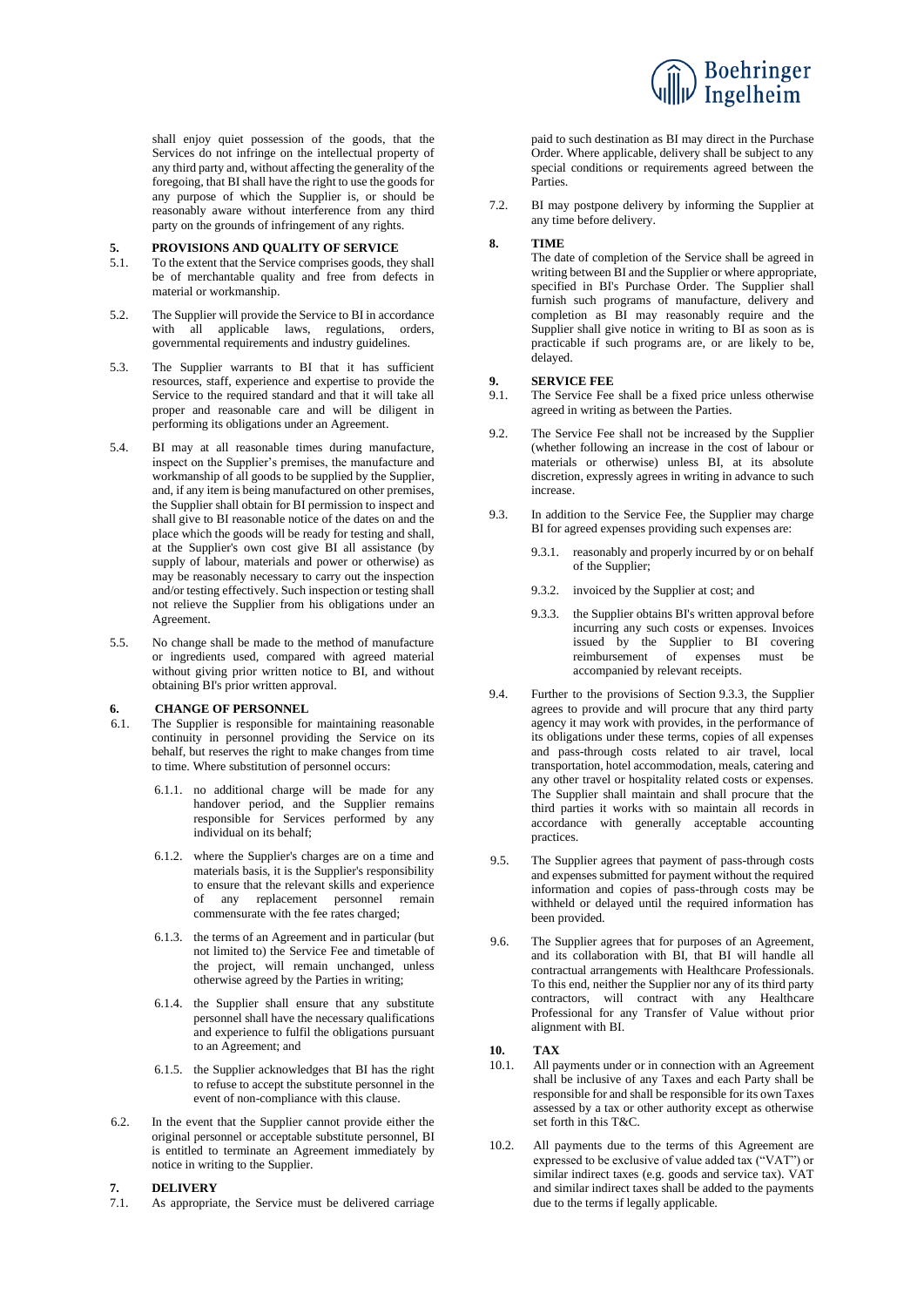

shall enjoy quiet possession of the goods, that the Services do not infringe on the intellectual property of any third party and, without affecting the generality of the foregoing, that BI shall have the right to use the goods for any purpose of which the Supplier is, or should be reasonably aware without interference from any third party on the grounds of infringement of any rights.

# <span id="page-1-2"></span>**5. PROVISIONS AND QUALITY OF SERVICE**<br>5.1. To the extent that the Service comprises goods, the

- To the extent that the Service comprises goods, they shall be of merchantable quality and free from defects in material or workmanship.
- 5.2. The Supplier will provide the Service to BI in accordance with all applicable laws, regulations, orders, governmental requirements and industry guidelines.
- 5.3. The Supplier warrants to BI that it has sufficient resources, staff, experience and expertise to provide the Service to the required standard and that it will take all proper and reasonable care and will be diligent in performing its obligations under an Agreement.
- 5.4. BI may at all reasonable times during manufacture, inspect on the Supplier's premises, the manufacture and workmanship of all goods to be supplied by the Supplier, and, if any item is being manufactured on other premises, the Supplier shall obtain for BI permission to inspect and shall give to BI reasonable notice of the dates on and the place which the goods will be ready for testing and shall, at the Supplier's own cost give BI all assistance (by supply of labour, materials and power or otherwise) as may be reasonably necessary to carry out the inspection and/or testing effectively. Such inspection or testing shall not relieve the Supplier from his obligations under an Agreement.
- 5.5. No change shall be made to the method of manufacture or ingredients used, compared with agreed material without giving prior written notice to BI, and without obtaining BI's prior written approval.

# **6. CHANGE OF PERSONNEL**<br>**6.1.** The Supplier is responsible for

- The Supplier is responsible for maintaining reasonable continuity in personnel providing the Service on its behalf, but reserves the right to make changes from time to time. Where substitution of personnel occurs:
	- 6.1.1. no additional charge will be made for any handover period, and the Supplier remains responsible for Services performed by any individual on its behalf;
	- 6.1.2. where the Supplier's charges are on a time and materials basis, it is the Supplier's responsibility to ensure that the relevant skills and experience of any replacement personnel remain commensurate with the fee rates charged;
	- 6.1.3. the terms of an Agreement and in particular (but not limited to) the Service Fee and timetable of the project, will remain unchanged, unless otherwise agreed by the Parties in writing;
	- 6.1.4. the Supplier shall ensure that any substitute personnel shall have the necessary qualifications and experience to fulfil the obligations pursuant to an Agreement; and
	- 6.1.5. the Supplier acknowledges that BI has the right to refuse to accept the substitute personnel in the event of non-compliance with this clause.
- 6.2. In the event that the Supplier cannot provide either the original personnel or acceptable substitute personnel, BI is entitled to terminate an Agreement immediately by notice in writing to the Supplier.

# **7. DELIVERY**

As appropriate, the Service must be delivered carriage

paid to such destination as BI may direct in the Purchase Order. Where applicable, delivery shall be subject to any special conditions or requirements agreed between the Parties.

7.2. BI may postpone delivery by informing the Supplier at any time before delivery.

#### **8. TIME**

The date of completion of the Service shall be agreed in writing between BI and the Supplier or where appropriate, specified in BI's Purchase Order. The Supplier shall furnish such programs of manufacture, delivery and completion as BI may reasonably require and the Supplier shall give notice in writing to BI as soon as is practicable if such programs are, or are likely to be, delayed.

#### **9. SERVICE FEE**

- 9.1. The Service Fee shall be a fixed price unless otherwise agreed in writing as between the Parties.
- 9.2. The Service Fee shall not be increased by the Supplier (whether following an increase in the cost of labour or materials or otherwise) unless BI, at its absolute discretion, expressly agrees in writing in advance to such increase.
- 9.3. In addition to the Service Fee, the Supplier may charge BI for agreed expenses providing such expenses are:
	- 9.3.1. reasonably and properly incurred by or on behalf of the Supplier;
	- 9.3.2. invoiced by the Supplier at cost; and
	- 9.3.3. the Supplier obtains BI's written approval before incurring any such costs or expenses. Invoices issued by the Supplier to BI covering reimbursement of expenses must be accompanied by relevant receipts.
- <span id="page-1-1"></span><span id="page-1-0"></span>9.4. Further to the provisions of Section [9.3.3,](#page-1-0) the Supplier agrees to provide and will procure that any third party agency it may work with provides, in the performance of its obligations under these terms, copies of all expenses and pass-through costs related to air travel, local transportation, hotel accommodation, meals, catering and any other travel or hospitality related costs or expenses. The Supplier shall maintain and shall procure that the third parties it works with so maintain all records in accordance with generally acceptable accounting practices.
- 9.5. The Supplier agrees that payment of pass-through costs and expenses submitted for payment without the required information and copies of pass-through costs may be withheld or delayed until the required information has been provided.
- 9.6. The Supplier agrees that for purposes of an Agreement, and its collaboration with BI, that BI will handle all contractual arrangements with Healthcare Professionals. To this end, neither the Supplier nor any of its third party contractors, will contract with any Healthcare Professional for any Transfer of Value without prior alignment with BI.

## **10. TAX**

- 10.1. All payments under or in connection with an Agreement shall be inclusive of any Taxes and each Party shall be responsible for and shall be responsible for its own Taxes assessed by a tax or other authority except as otherwise set forth in this T&C.
- 10.2. All payments due to the terms of this Agreement are expressed to be exclusive of value added tax ("VAT") or similar indirect taxes (e.g. goods and service tax). VAT and similar indirect taxes shall be added to the payments due to the terms if legally applicable.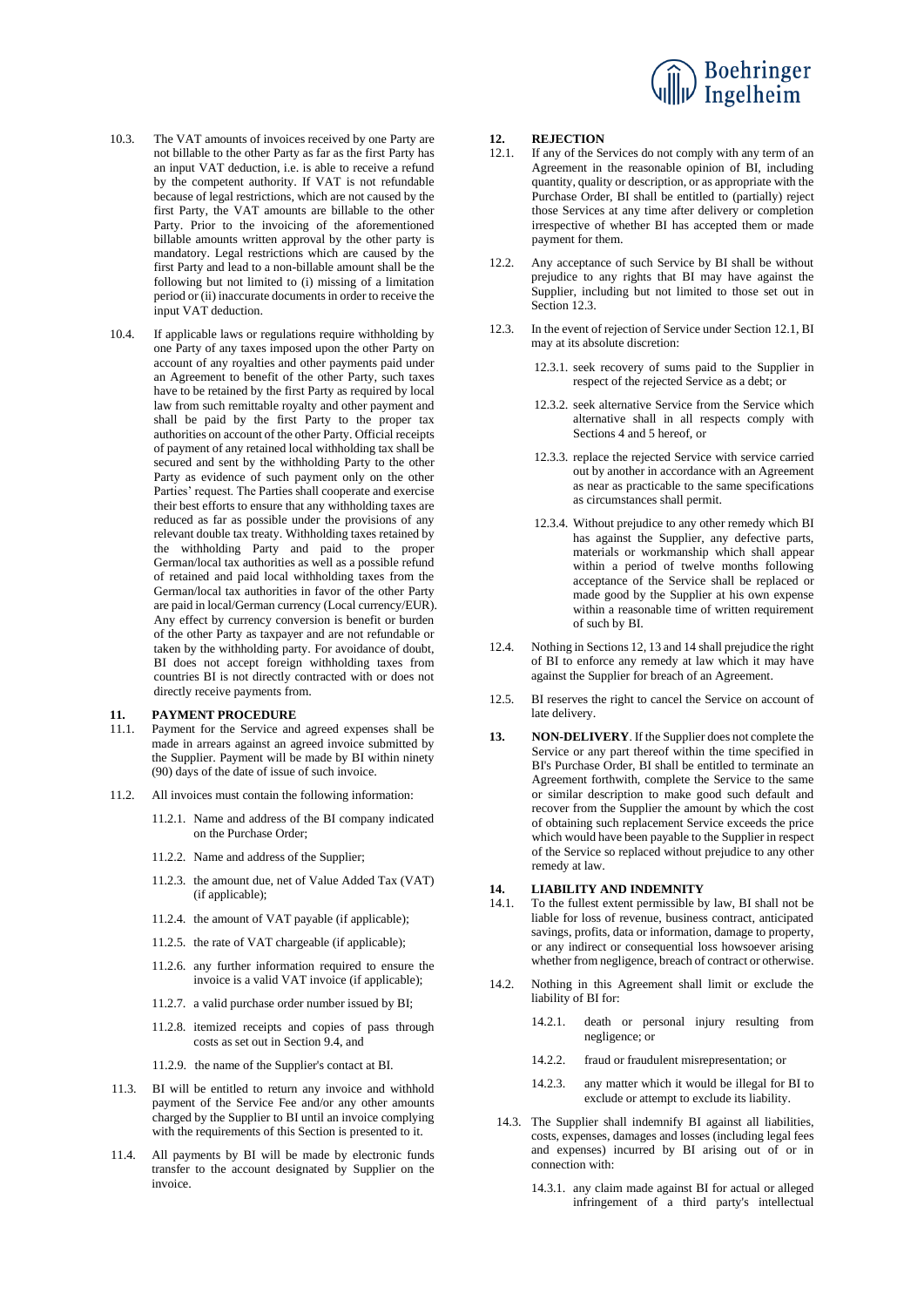

- 10.3. The VAT amounts of invoices received by one Party are not billable to the other Party as far as the first Party has an input VAT deduction, i.e. is able to receive a refund by the competent authority. If VAT is not refundable because of legal restrictions, which are not caused by the first Party, the VAT amounts are billable to the other Party. Prior to the invoicing of the aforementioned billable amounts written approval by the other party is mandatory. Legal restrictions which are caused by the first Party and lead to a non-billable amount shall be the following but not limited to (i) missing of a limitation period or (ii) inaccurate documents in order to receive the input VAT deduction.
- 10.4. If applicable laws or regulations require withholding by one Party of any taxes imposed upon the other Party on account of any royalties and other payments paid under an Agreement to benefit of the other Party, such taxes have to be retained by the first Party as required by local law from such remittable royalty and other payment and shall be paid by the first Party to the proper tax authorities on account of the other Party. Official receipts of payment of any retained local withholding tax shall be secured and sent by the withholding Party to the other Party as evidence of such payment only on the other Parties' request. The Parties shall cooperate and exercise their best efforts to ensure that any withholding taxes are reduced as far as possible under the provisions of any relevant double tax treaty. Withholding taxes retained by the withholding Party and paid to the proper German/local tax authorities as well as a possible refund of retained and paid local withholding taxes from the German/local tax authorities in favor of the other Party are paid in local/German currency (Local currency/EUR). Any effect by currency conversion is benefit or burden of the other Party as taxpayer and are not refundable or taken by the withholding party. For avoidance of doubt, BI does not accept foreign withholding taxes from countries BI is not directly contracted with or does not directly receive payments from.

# **11. PAYMENT PROCEDURE**<br>11.1. Payment for the Service and

- Payment for the Service and agreed expenses shall be made in arrears against an agreed invoice submitted by the Supplier. Payment will be made by BI within ninety (90) days of the date of issue of such invoice.
- 11.2. All invoices must contain the following information:
	- 11.2.1. Name and address of the BI company indicated on the Purchase Order;
	- 11.2.2. Name and address of the Supplier;
	- 11.2.3. the amount due, net of Value Added Tax (VAT) (if applicable);
	- 11.2.4. the amount of VAT payable (if applicable);
	- 11.2.5. the rate of VAT chargeable (if applicable);
	- 11.2.6. any further information required to ensure the invoice is a valid VAT invoice (if applicable);
	- 11.2.7. a valid purchase order number issued by BI;
	- 11.2.8. itemized receipts and copies of pass through costs as set out in Section [9.4,](#page-1-1) and
	- 11.2.9. the name of the Supplier's contact at BI.
- 11.3. BI will be entitled to return any invoice and withhold payment of the Service Fee and/or any other amounts charged by the Supplier to BI until an invoice complying with the requirements of this Section is presented to it.
- 11.4. All payments by BI will be made by electronic funds transfer to the account designated by Supplier on the invoice.

## <span id="page-2-2"></span>12. **REJECTION**<br>12.1 **If any of the Se**

- <span id="page-2-1"></span>If any of the Services do not comply with any term of an Agreement in the reasonable opinion of BI, including quantity, quality or description, or as appropriate with the Purchase Order, BI shall be entitled to (partially) reject those Services at any time after delivery or completion irrespective of whether BI has accepted them or made payment for them.
- 12.2. Any acceptance of such Service by BI shall be without prejudice to any rights that BI may have against the Supplier, including but not limited to those set out in Section [12.3.](#page-2-0)
- <span id="page-2-0"></span>12.3. In the event of rejection of Service under Section [12.1,](#page-2-1) BI may at its absolute discretion:
	- 12.3.1. seek recovery of sums paid to the Supplier in respect of the rejected Service as a debt; or
	- 12.3.2. seek alternative Service from the Service which alternative shall in all respects comply with Sections [4](#page-0-1) an[d 5](#page-1-2) hereof, or
	- 12.3.3. replace the rejected Service with service carried out by another in accordance with an Agreement as near as practicable to the same specifications as circumstances shall permit.
	- 12.3.4. Without prejudice to any other remedy which BI has against the Supplier, any defective parts, materials or workmanship which shall appear within a period of twelve months following acceptance of the Service shall be replaced or made good by the Supplier at his own expense within a reasonable time of written requirement of such by BI.
- 12.4. Nothing in Section[s 12,](#page-2-2) [13](#page-2-3) an[d 14](#page-2-4) shall prejudice the right of BI to enforce any remedy at law which it may have against the Supplier for breach of an Agreement.
- 12.5. BI reserves the right to cancel the Service on account of late delivery.
- <span id="page-2-3"></span>**13. NON-DELIVERY**. If the Supplier does not complete the Service or any part thereof within the time specified in BI's Purchase Order, BI shall be entitled to terminate an Agreement forthwith, complete the Service to the same or similar description to make good such default and recover from the Supplier the amount by which the cost of obtaining such replacement Service exceeds the price which would have been payable to the Supplier in respect of the Service so replaced without prejudice to any other remedy at law.

#### <span id="page-2-4"></span>**14. LIABILITY AND INDEMNITY**

- 14.1. To the fullest extent permissible by law, BI shall not be liable for loss of revenue, business contract, anticipated savings, profits, data or information, damage to property, or any indirect or consequential loss howsoever arising whether from negligence, breach of contract or otherwise.
- 14.2. Nothing in this Agreement shall limit or exclude the liability of BI for:
	- 14.2.1. death or personal injury resulting from negligence; or
	- 14.2.2. fraud or fraudulent misrepresentation; or
	- 14.2.3. any matter which it would be illegal for BI to exclude or attempt to exclude its liability.
- 14.3. The Supplier shall indemnify BI against all liabilities, costs, expenses, damages and losses (including legal fees and expenses) incurred by BI arising out of or in connection with:
	- 14.3.1. any claim made against BI for actual or alleged infringement of a third party's intellectual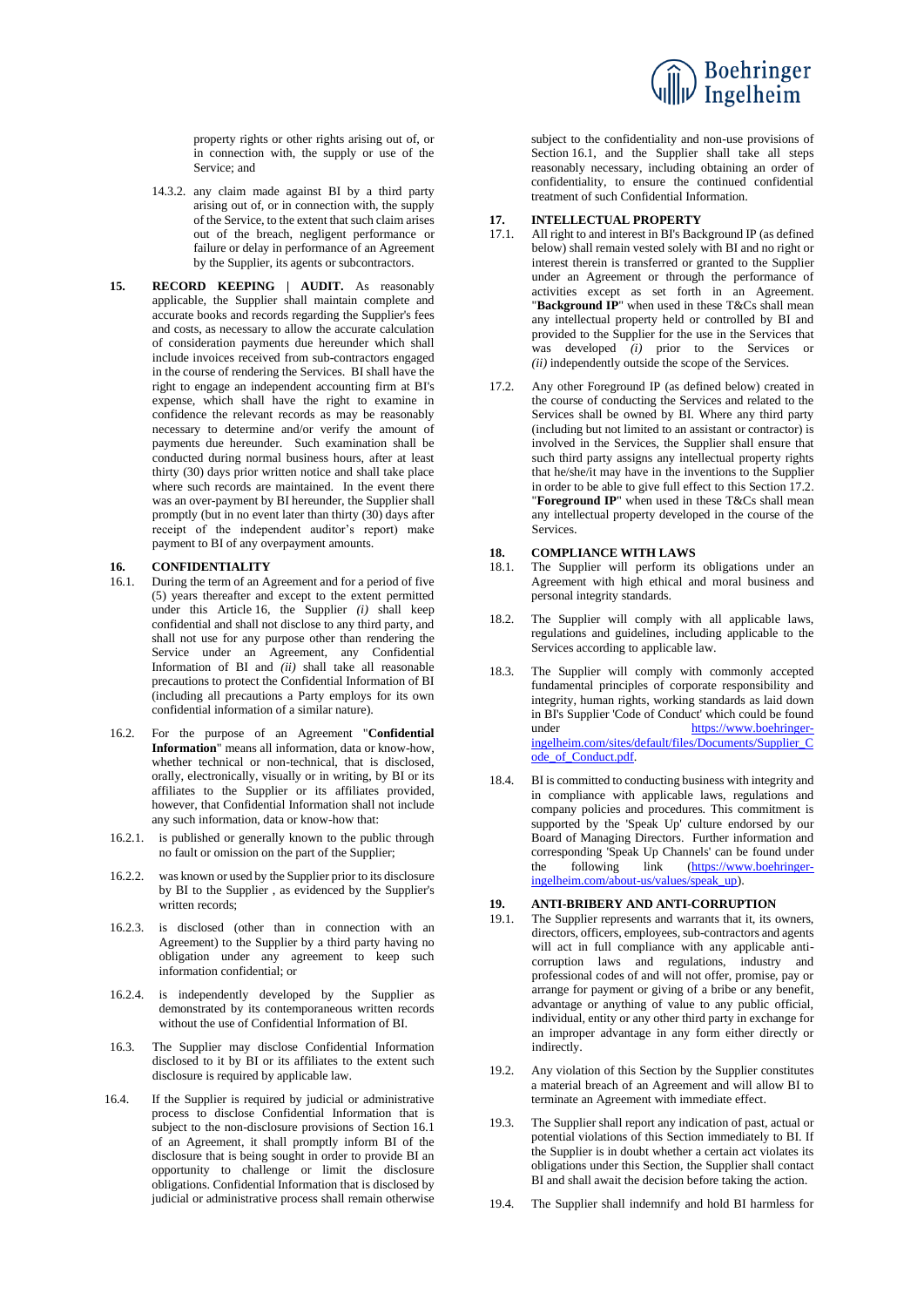

property rights or other rights arising out of, or in connection with, the supply or use of the Service; and

- 14.3.2. any claim made against BI by a third party arising out of, or in connection with, the supply of the Service, to the extent that such claim arises out of the breach, negligent performance or failure or delay in performance of an Agreement by the Supplier, its agents or subcontractors.
- **15. RECORD KEEPING | AUDIT.** As reasonably applicable, the Supplier shall maintain complete and accurate books and records regarding the Supplier's fees and costs, as necessary to allow the accurate calculation of consideration payments due hereunder which shall include invoices received from sub-contractors engaged in the course of rendering the Services. BI shall have the right to engage an independent accounting firm at BI's expense, which shall have the right to examine in confidence the relevant records as may be reasonably necessary to determine and/or verify the amount of payments due hereunder. Such examination shall be conducted during normal business hours, after at least thirty (30) days prior written notice and shall take place where such records are maintained. In the event there was an over-payment by BI hereunder, the Supplier shall promptly (but in no event later than thirty (30) days after receipt of the independent auditor's report) make payment to BI of any overpayment amounts.

# <span id="page-3-3"></span>16.1 **CONFIDENTIALITY**<br>16.1 During the term of an A

- <span id="page-3-4"></span>16.1. During the term of an Agreement and for a period of five (5) years thereafter and except to the extent permitted under this Article [16,](#page-3-3) the Supplier *(i)* shall keep confidential and shall not disclose to any third party, and shall not use for any purpose other than rendering the Service under an Agreement, any Confidential Information of BI and *(ii)* shall take all reasonable precautions to protect the Confidential Information of BI (including all precautions a Party employs for its own confidential information of a similar nature).
- <span id="page-3-1"></span>16.2. For the purpose of an Agreement "**Confidential Information**" means all information, data or know-how, whether technical or non-technical, that is disclosed, orally, electronically, visually or in writing, by BI or its affiliates to the Supplier or its affiliates provided, however, that Confidential Information shall not include any such information, data or know-how that:
- 16.2.1. is published or generally known to the public through no fault or omission on the part of the Supplier;
- 16.2.2. was known or used by the Supplier prior to its disclosure by BI to the Supplier , as evidenced by the Supplier's written records;
- 16.2.3. is disclosed (other than in connection with an Agreement) to the Supplier by a third party having no obligation under any agreement to keep such information confidential; or
- 16.2.4. is independently developed by the Supplier as demonstrated by its contemporaneous written records without the use of Confidential Information of BI.
- 16.3. The Supplier may disclose Confidential Information disclosed to it by BI or its affiliates to the extent such disclosure is required by applicable law.
- 16.4. If the Supplier is required by judicial or administrative process to disclose Confidential Information that is subject to the non-disclosure provisions of Section [16.1](#page-3-4) of an Agreement, it shall promptly inform BI of the disclosure that is being sought in order to provide BI an opportunity to challenge or limit the disclosure obligations. Confidential Information that is disclosed by judicial or administrative process shall remain otherwise

subject to the confidentiality and non-use provisions of Section [16.1,](#page-3-4) and the Supplier shall take all steps reasonably necessary, including obtaining an order of confidentiality, to ensure the continued confidential treatment of such Confidential Information.

## **17. INTELLECTUAL PROPERTY**

- <span id="page-3-0"></span>17.1. All right to and interest in BI's Background IP (as defined below) shall remain vested solely with BI and no right or interest therein is transferred or granted to the Supplier under an Agreement or through the performance of activities except as set forth in an Agreement. "**Background IP**" when used in these T&Cs shall mean any intellectual property held or controlled by BI and provided to the Supplier for the use in the Services that was developed *(i)* prior to the Services or *(ii)* independently outside the scope of the Services.
- <span id="page-3-2"></span>17.2. Any other Foreground IP (as defined below) created in the course of conducting the Services and related to the Services shall be owned by BI. Where any third party (including but not limited to an assistant or contractor) is involved in the Services, the Supplier shall ensure that such third party assigns any intellectual property rights that he/she/it may have in the inventions to the Supplier in order to be able to give full effect to this Section [17.2.](#page-3-2) "**Foreground IP**" when used in these T&Cs shall mean any intellectual property developed in the course of the Services.

# **18. COMPLIANCE WITH LAWS**<br>**18.1** The Supplier will perform its

- The Supplier will perform its obligations under an Agreement with high ethical and moral business and personal integrity standards.
- 18.2. The Supplier will comply with all applicable laws, regulations and guidelines, including applicable to the Services according to applicable law.
- 18.3. The Supplier will comply with commonly accepted fundamental principles of corporate responsibility and integrity, human rights, working standards as laid down in BI's Supplier 'Code of Conduct' which could be found under [https://www.boehringer](https://www.boehringer-ingelheim.com/sites/default/files/Documents/Supplier_Code_of_Conduct.pdf)[ingelheim.com/sites/default/files/Documents/Supplier\\_C](https://www.boehringer-ingelheim.com/sites/default/files/Documents/Supplier_Code_of_Conduct.pdf) [ode\\_of\\_Conduct.pdf.](https://www.boehringer-ingelheim.com/sites/default/files/Documents/Supplier_Code_of_Conduct.pdf)
- 18.4. BI is committed to conducting business with integrity and in compliance with applicable laws, regulations and company policies and procedures. This commitment is supported by the 'Speak Up' culture endorsed by our Board of Managing Directors. Further information and corresponding 'Speak Up Channels' can be found under the following link [\(https://www.boehringer](https://www.boehringer-ingelheim.com/about-us/values/speak_up)[ingelheim.com/about-us/values/speak\\_up\)](https://www.boehringer-ingelheim.com/about-us/values/speak_up).

#### **19. ANTI-BRIBERY AND ANTI-CORRUPTION**

- 19.1. The Supplier represents and warrants that it, its owners, directors, officers, employees, sub-contractors and agents will act in full compliance with any applicable anticorruption laws and regulations, industry and professional codes of and will not offer, promise, pay or arrange for payment or giving of a bribe or any benefit, advantage or anything of value to any public official, individual, entity or any other third party in exchange for an improper advantage in any form either directly or indirectly.
- 19.2. Any violation of this Section by the Supplier constitutes a material breach of an Agreement and will allow BI to terminate an Agreement with immediate effect.
- 19.3. The Supplier shall report any indication of past, actual or potential violations of this Section immediately to BI. If the Supplier is in doubt whether a certain act violates its obligations under this Section, the Supplier shall contact BI and shall await the decision before taking the action.
- 19.4. The Supplier shall indemnify and hold BI harmless for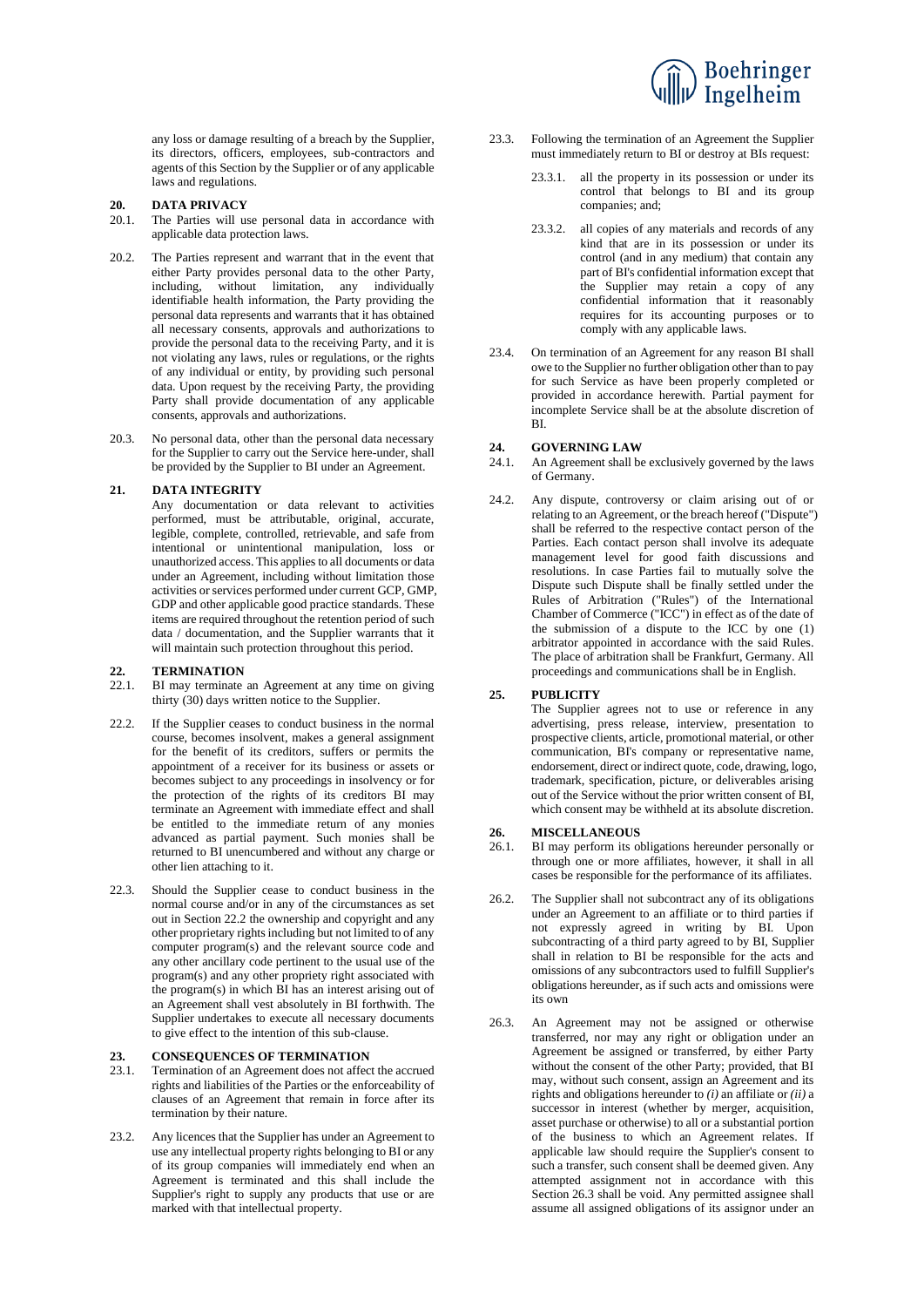

any loss or damage resulting of a breach by the Supplier, its directors, officers, employees, sub-contractors and agents of this Section by the Supplier or of any applicable laws and regulations.

#### **20. DATA PRIVACY**

- 20.1. The Parties will use personal data in accordance with applicable data protection laws.
- 20.2. The Parties represent and warrant that in the event that either Party provides personal data to the other Party, including, without limitation, any individually identifiable health information, the Party providing the personal data represents and warrants that it has obtained all necessary consents, approvals and authorizations to provide the personal data to the receiving Party, and it is not violating any laws, rules or regulations, or the rights of any individual or entity, by providing such personal data. Upon request by the receiving Party, the providing Party shall provide documentation of any applicable consents, approvals and authorizations.
- 20.3. No personal data, other than the personal data necessary for the Supplier to carry out the Service here-under, shall be provided by the Supplier to BI under an Agreement.

#### **21. DATA INTEGRITY**

Any documentation or data relevant to activities performed, must be attributable, original, accurate, legible, complete, controlled, retrievable, and safe from intentional or unintentional manipulation, loss or unauthorized access. This applies to all documents or data under an Agreement, including without limitation those activities or services performed under current GCP, GMP, GDP and other applicable good practice standards. These items are required throughout the retention period of such data / documentation, and the Supplier warrants that it will maintain such protection throughout this period.

# 22. **TERMINATION**<br>22.1 **BI** may terminate

- BI may terminate an Agreement at any time on giving thirty (30) days written notice to the Supplier.
- <span id="page-4-0"></span>22.2. If the Supplier ceases to conduct business in the normal course, becomes insolvent, makes a general assignment for the benefit of its creditors, suffers or permits the appointment of a receiver for its business or assets or becomes subject to any proceedings in insolvency or for the protection of the rights of its creditors BI may terminate an Agreement with immediate effect and shall be entitled to the immediate return of any monies advanced as partial payment. Such monies shall be returned to BI unencumbered and without any charge or other lien attaching to it.
- 22.3. Should the Supplier cease to conduct business in the normal course and/or in any of the circumstances as set out in Section [22.2](#page-4-0) the ownership and copyright and any other proprietary rights including but not limited to of any computer program(s) and the relevant source code and any other ancillary code pertinent to the usual use of the program(s) and any other propriety right associated with the program(s) in which BI has an interest arising out of an Agreement shall vest absolutely in BI forthwith. The Supplier undertakes to execute all necessary documents to give effect to the intention of this sub-clause.

#### **23. CONSEQUENCES OF TERMINATION**

- 23.1. Termination of an Agreement does not affect the accrued rights and liabilities of the Parties or the enforceability of clauses of an Agreement that remain in force after its termination by their nature.
- 23.2. Any licences that the Supplier has under an Agreement to use any intellectual property rights belonging to BI or any of its group companies will immediately end when an Agreement is terminated and this shall include the Supplier's right to supply any products that use or are marked with that intellectual property.
- 23.3. Following the termination of an Agreement the Supplier must immediately return to BI or destroy at BIs request:
	- 23.3.1. all the property in its possession or under its control that belongs to BI and its group companies; and;
	- 23.3.2. all copies of any materials and records of any kind that are in its possession or under its control (and in any medium) that contain any part of BI's confidential information except that the Supplier may retain a copy of any confidential information that it reasonably requires for its accounting purposes or to comply with any applicable laws.
- 23.4. On termination of an Agreement for any reason BI shall owe to the Supplier no further obligation other than to pay for such Service as have been properly completed or provided in accordance herewith. Partial payment for incomplete Service shall be at the absolute discretion of BI.

## **24. GOVERNING LAW**

- 24.1. An Agreement shall be exclusively governed by the laws of Germany.
- 24.2. Any dispute, controversy or claim arising out of or relating to an Agreement, or the breach hereof ("Dispute") shall be referred to the respective contact person of the Parties. Each contact person shall involve its adequate management level for good faith discussions and resolutions. In case Parties fail to mutually solve the Dispute such Dispute shall be finally settled under the Rules of Arbitration ("Rules") of the International Chamber of Commerce ("ICC") in effect as of the date of the submission of a dispute to the ICC by one (1) arbitrator appointed in accordance with the said Rules. The place of arbitration shall be Frankfurt, Germany. All proceedings and communications shall be in English.

## **25. PUBLICITY**

The Supplier agrees not to use or reference in any advertising, press release, interview, presentation to prospective clients, article, promotional material, or other communication, BI's company or representative name, endorsement, direct or indirect quote, code, drawing, logo, trademark, specification, picture, or deliverables arising out of the Service without the prior written consent of BI, which consent may be withheld at its absolute discretion.

## **26. MISCELLANEOUS**

- 26.1. BI may perform its obligations hereunder personally or through one or more affiliates, however, it shall in all cases be responsible for the performance of its affiliates.
- 26.2. The Supplier shall not subcontract any of its obligations under an Agreement to an affiliate or to third parties if not expressly agreed in writing by BI. Upon subcontracting of a third party agreed to by BI, Supplier shall in relation to BI be responsible for the acts and omissions of any subcontractors used to fulfill Supplier's obligations hereunder, as if such acts and omissions were its own
- <span id="page-4-1"></span>26.3. An Agreement may not be assigned or otherwise transferred, nor may any right or obligation under an Agreement be assigned or transferred, by either Party without the consent of the other Party; provided, that BI may, without such consent, assign an Agreement and its rights and obligations hereunder to *(i)* an affiliate or *(ii)* a successor in interest (whether by merger, acquisition, asset purchase or otherwise) to all or a substantial portion of the business to which an Agreement relates. If applicable law should require the Supplier's consent to such a transfer, such consent shall be deemed given. Any attempted assignment not in accordance with this Section [26.3](#page-4-1) shall be void. Any permitted assignee shall assume all assigned obligations of its assignor under an